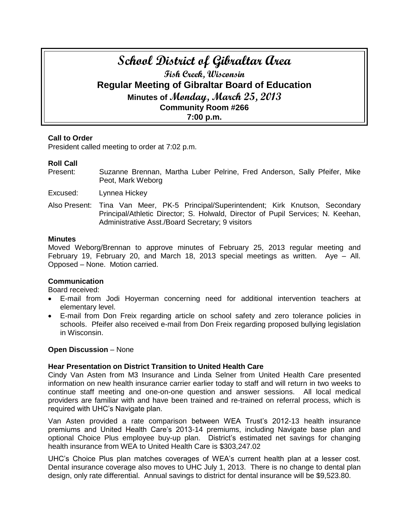# **School District of Gibraltar Area Fish Creek, Wisconsin Regular Meeting of Gibraltar Board of Education Minutes of Monday, March 25, 2013 Community Room #266 7:00 p.m.**

# **Call to Order**

President called meeting to order at 7:02 p.m.

#### **Roll Call**

Present: Suzanne Brennan, Martha Luber Pelrine, Fred Anderson, Sally Pfeifer, Mike Peot, Mark Weborg

Excused: Lynnea Hickey

Also Present: Tina Van Meer, PK-5 Principal/Superintendent; Kirk Knutson, Secondary Principal/Athletic Director; S. Holwald, Director of Pupil Services; N. Keehan, Administrative Asst./Board Secretary; 9 visitors

#### **Minutes**

Moved Weborg/Brennan to approve minutes of February 25, 2013 regular meeting and February 19, February 20, and March 18, 2013 special meetings as written. Aye – All. Opposed – None. Motion carried.

#### **Communication**

Board received:

- E-mail from Jodi Hoyerman concerning need for additional intervention teachers at elementary level.
- E-mail from Don Freix regarding article on school safety and zero tolerance policies in schools. Pfeifer also received e-mail from Don Freix regarding proposed bullying legislation in Wisconsin.

#### **Open Discussion** – None

#### **Hear Presentation on District Transition to United Health Care**

Cindy Van Asten from M3 Insurance and Linda Selner from United Health Care presented information on new health insurance carrier earlier today to staff and will return in two weeks to continue staff meeting and one-on-one question and answer sessions. All local medical providers are familiar with and have been trained and re-trained on referral process, which is required with UHC's Navigate plan.

Van Asten provided a rate comparison between WEA Trust's 2012-13 health insurance premiums and United Health Care's 2013-14 premiums, including Navigate base plan and optional Choice Plus employee buy-up plan. District's estimated net savings for changing health insurance from WEA to United Health Care is \$303,247.02

UHC's Choice Plus plan matches coverages of WEA's current health plan at a lesser cost. Dental insurance coverage also moves to UHC July 1, 2013. There is no change to dental plan design, only rate differential. Annual savings to district for dental insurance will be \$9,523.80.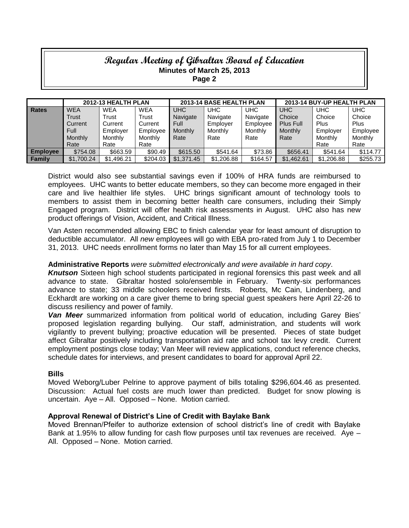|                 | 2012-13 HEALTH PLAN |            |            | 2013-14 BASE HEALTH PLAN |            |            | 2013-14 BUY-UP HEALTH PLAN |            |            |
|-----------------|---------------------|------------|------------|--------------------------|------------|------------|----------------------------|------------|------------|
| <b>Rates</b>    | <b>WEA</b>          | <b>WEA</b> | <b>WEA</b> | UHC                      | <b>UHC</b> | <b>UHC</b> | <b>UHC</b>                 | UHC        | <b>UHC</b> |
|                 | Trust               | Trust      | Trust      | Navigate                 | Navigate   | Navigate   | Choice                     | Choice     | Choice     |
|                 | Current             | Current    | Current    | Full                     | Employer   | Emplovee   | Plus Full                  | Plus       | Plus       |
|                 | Full                | Employer   | Employee   | Monthly                  | Monthly    | Monthly    | Monthly                    | Employer   | Employee   |
|                 | Monthly             | Monthly    | Monthly    | Rate                     | Rate       | Rate       | Rate                       | Monthly    | Monthly    |
|                 | Rate                | Rate       | Rate       |                          |            |            |                            | Rate       | Rate       |
| <b>Employee</b> | \$754.08            | \$663.59   | \$90.49    | \$615.50                 | \$541.64   | \$73.86    | \$656.41                   | \$541.64   | \$114.77   |
| <b>Family</b>   | \$1,700.24          | \$1.496.21 | \$204.03   | \$1,371.45               | \$1,206.88 | \$164.57   | \$1.462.61                 | \$1,206.88 | \$255.73   |

District would also see substantial savings even if 100% of HRA funds are reimbursed to employees. UHC wants to better educate members, so they can become more engaged in their care and live healthier life styles. UHC brings significant amount of technology tools to members to assist them in becoming better health care consumers, including their Simply Engaged program. District will offer health risk assessments in August. UHC also has new product offerings of Vision, Accident, and Critical Illness.

Van Asten recommended allowing EBC to finish calendar year for least amount of disruption to deductible accumulator. All *new* employees will go with EBA pro-rated from July 1 to December 31, 2013. UHC needs enrollment forms no later than May 15 for all current employees.

### **Administrative Reports** *were submitted electronically and were available in hard copy*.

*Knutson* Sixteen high school students participated in regional forensics this past week and all advance to state. Gibraltar hosted solo/ensemble in February. Twenty-six performances advance to state; 33 middle schoolers received firsts. Roberts, Mc Cain, Lindenberg, and Eckhardt are working on a care giver theme to bring special guest speakers here April 22-26 to discuss resiliency and power of family.

*Van Meer* summarized information from political world of education, including Garey Bies' proposed legislation regarding bullying. Our staff, administration, and students will work vigilantly to prevent bullying; proactive education will be presented. Pieces of state budget affect Gibraltar positively including transportation aid rate and school tax levy credit. Current employment postings close today; Van Meer will review applications, conduct reference checks, schedule dates for interviews, and present candidates to board for approval April 22.

#### **Bills**

Moved Weborg/Luber Pelrine to approve payment of bills totaling \$296,604.46 as presented. Discussion: Actual fuel costs are much lower than predicted. Budget for snow plowing is uncertain. Aye – All. Opposed – None. Motion carried.

#### **Approval Renewal of District's Line of Credit with Baylake Bank**

Moved Brennan/Pfeifer to authorize extension of school district's line of credit with Baylake Bank at 1.95% to allow funding for cash flow purposes until tax revenues are received. Aye – All. Opposed – None. Motion carried.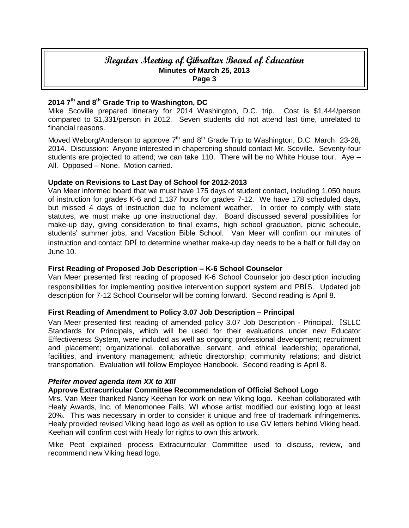# **2014 7th and 8th Grade Trip to Washington, DC**

Mike Scoville prepared itinerary for 2014 Washington, D.C. trip. Cost is \$1,444/person compared to \$1,331/person in 2012. Seven students did not attend last time, unrelated to financial reasons.

Moved Weborg/Anderson to approve  $7<sup>th</sup>$  and  $8<sup>th</sup>$  Grade Trip to Washington, D.C. March 23-28, 2014. Discussion: Anyone interested in chaperoning should contact Mr. Scoville. Seventy-four students are projected to attend; we can take 110. There will be no White House tour. Aye – All. Opposed – None. Motion carried.

#### **Update on Revisions to Last Day of School for 2012-2013**

Van Meer informed board that we must have 175 days of student contact, including 1,050 hours of instruction for grades K-6 and 1,137 hours for grades 7-12. We have 178 scheduled days, but missed 4 days of instruction due to inclement weather. In order to comply with state statutes, we must make up one instructional day. Board discussed several possibilities for make-up day, giving consideration to final exams, high school graduation, picnic schedule, students' summer jobs, and Vacation Bible School. Van Meer will confirm our minutes of instruction and contact DPI to determine whether make-up day needs to be a half or full day on June 10.

# **First Reading of Proposed Job Description – K-6 School Counselor**

Van Meer presented first reading of proposed K-6 School Counselor job description including responsibilities for implementing positive intervention support system and PBIS. Updated job description for 7-12 School Counselor will be coming forward. Second reading is April 8.

# **First Reading of Amendment to Policy 3.07 Job Description – Principal**

Van Meer presented first reading of amended policy 3.07 Job Description - Principal. ISLLC Standards for Principals, which will be used for their evaluations under new Educator Effectiveness System, were included as well as ongoing professional development; recruitment and placement; organizational, collaborative, servant, and ethical leadership; operational, facilities, and inventory management; athletic directorship; community relations; and district transportation. Evaluation will follow Employee Handbook. Second reading is April 8.

#### *Pfeifer moved agenda item XX to XIII*

#### **Approve Extracurricular Committee Recommendation of Official School Logo**

Mrs. Van Meer thanked Nancy Keehan for work on new Viking logo. Keehan collaborated with Healy Awards, Inc. of Menomonee Falls, WI whose artist modified our existing logo at least 20%. This was necessary in order to consider it unique and free of trademark infringements. Healy provided revised Viking head logo as well as option to use GV letters behind Viking head. Keehan will confirm cost with Healy for rights to own this artwork.

Mike Peot explained process Extracurricular Committee used to discuss, review, and recommend new Viking head logo.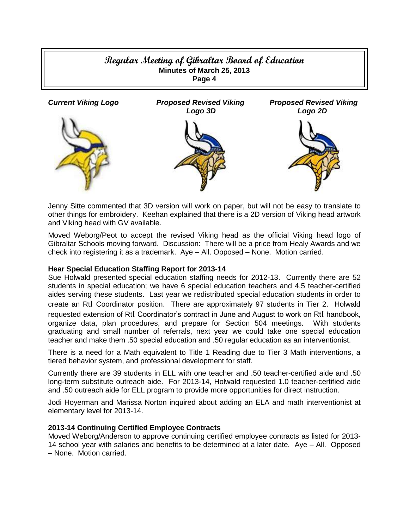

Jenny Sitte commented that 3D version will work on paper, but will not be easy to translate to other things for embroidery. Keehan explained that there is a 2D version of Viking head artwork and Viking head with GV available.

Moved Weborg/Peot to accept the revised Viking head as the official Viking head logo of Gibraltar Schools moving forward. Discussion: There will be a price from Healy Awards and we check into registering it as a trademark. Aye – All. Opposed – None. Motion carried.

# **Hear Special Education Staffing Report for 2013-14**

Sue Holwald presented special education staffing needs for 2012-13. Currently there are 52 students in special education; we have 6 special education teachers and 4.5 teacher-certified aides serving these students. Last year we redistributed special education students in order to create an RtI Coordinator position. There are approximately 97 students in Tier 2. Holwald requested extension of RtI Coordinator's contract in June and August to work on RtI handbook, organize data, plan procedures, and prepare for Section 504 meetings. With students graduating and small number of referrals, next year we could take one special education teacher and make them .50 special education and .50 regular education as an interventionist.

There is a need for a Math equivalent to Title 1 Reading due to Tier 3 Math interventions, a tiered behavior system, and professional development for staff.

Currently there are 39 students in ELL with one teacher and .50 teacher-certified aide and .50 long-term substitute outreach aide. For 2013-14, Holwald requested 1.0 teacher-certified aide and .50 outreach aide for ELL program to provide more opportunities for direct instruction.

Jodi Hoyerman and Marissa Norton inquired about adding an ELA and math interventionist at elementary level for 2013-14.

#### **2013-14 Continuing Certified Employee Contracts**

Moved Weborg/Anderson to approve continuing certified employee contracts as listed for 2013- 14 school year with salaries and benefits to be determined at a later date. Aye – All. Opposed – None. Motion carried.